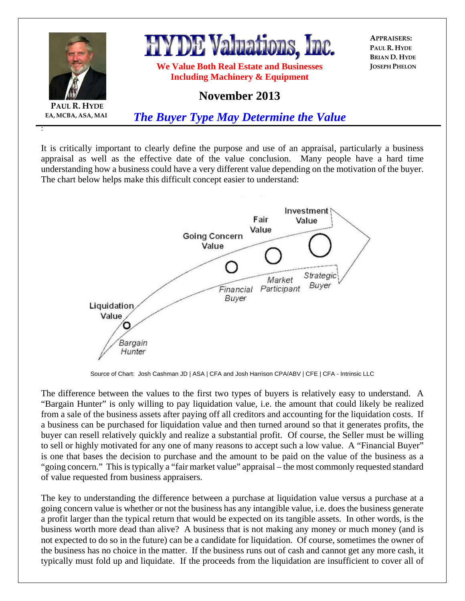

It is critically important to clearly define the purpose and use of an appraisal, particularly a business appraisal as well as the effective date of the value conclusion. Many people have a hard time understanding how a business could have a very different value depending on the motivation of the buyer. The chart below helps make this difficult concept easier to understand:



Source of Chart: Josh Cashman JD | ASA | CFA and Josh Harrison CPA/ABV | CFE | CFA - Intrinsic LLC

The difference between the values to the first two types of buyers is relatively easy to understand. A "Bargain Hunter" is only willing to pay liquidation value, i.e. the amount that could likely be realized from a sale of the business assets after paying off all creditors and accounting for the liquidation costs. If a business can be purchased for liquidation value and then turned around so that it generates profits, the buyer can resell relatively quickly and realize a substantial profit. Of course, the Seller must be willing to sell or highly motivated for any one of many reasons to accept such a low value. A "Financial Buyer" is one that bases the decision to purchase and the amount to be paid on the value of the business as a "going concern." This is typically a "fair market value" appraisal – the most commonly requested standard of value requested from business appraisers.

The key to understanding the difference between a purchase at liquidation value versus a purchase at a going concern value is whether or not the business has any intangible value, i.e. does the business generate a profit larger than the typical return that would be expected on its tangible assets. In other words, is the business worth more dead than alive? A business that is not making any money or much money (and is not expected to do so in the future) can be a candidate for liquidation. Of course, sometimes the owner of the business has no choice in the matter. If the business runs out of cash and cannot get any more cash, it typically must fold up and liquidate. If the proceeds from the liquidation are insufficient to cover all of